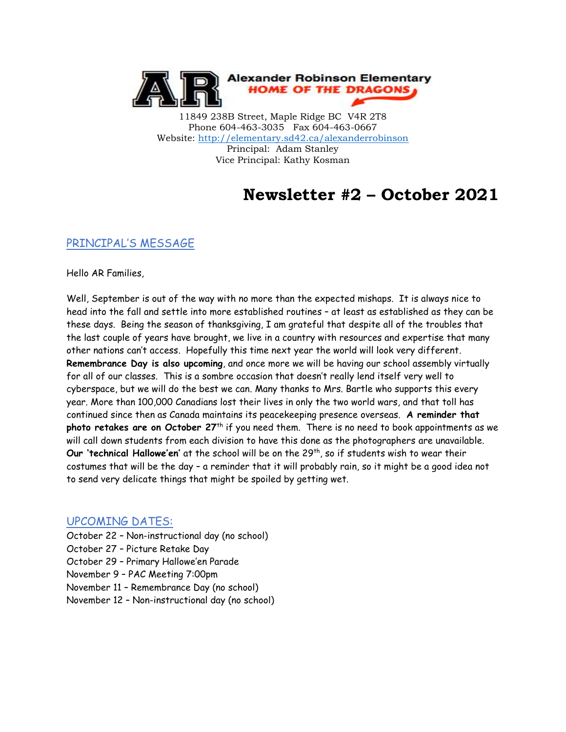

11849 238B Street, Maple Ridge BC V4R 2T8 Phone 604-463-3035 Fax 604-463-0667 Website:<http://elementary.sd42.ca/alexanderrobinson> Principal: Adam Stanley Vice Principal: Kathy Kosman

# **Newsletter #2 – October 2021**

### PRINCIPAL'S MESSAGE

Hello AR Families,

Well, September is out of the way with no more than the expected mishaps. It is always nice to head into the fall and settle into more established routines – at least as established as they can be these days. Being the season of thanksgiving, I am grateful that despite all of the troubles that the last couple of years have brought, we live in a country with resources and expertise that many other nations can't access. Hopefully this time next year the world will look very different. **Remembrance Day is also upcoming**, and once more we will be having our school assembly virtually for all of our classes. This is a sombre occasion that doesn't really lend itself very well to cyberspace, but we will do the best we can. Many thanks to Mrs. Bartle who supports this every year. More than 100,000 Canadians lost their lives in only the two world wars, and that toll has continued since then as Canada maintains its peacekeeping presence overseas. **A reminder that photo retakes are on October 27**th if you need them. There is no need to book appointments as we will call down students from each division to have this done as the photographers are unavailable. Our 'technical Hallowe'en' at the school will be on the 29<sup>th</sup>, so if students wish to wear their costumes that will be the day – a reminder that it will probably rain, so it might be a good idea not to send very delicate things that might be spoiled by getting wet.

#### UPCOMING DATES:

- October 22 Non-instructional day (no school)
- October 27 Picture Retake Day
- October 29 Primary Hallowe'en Parade
- November 9 PAC Meeting 7:00pm
- November 11 Remembrance Day (no school)
- November 12 Non-instructional day (no school)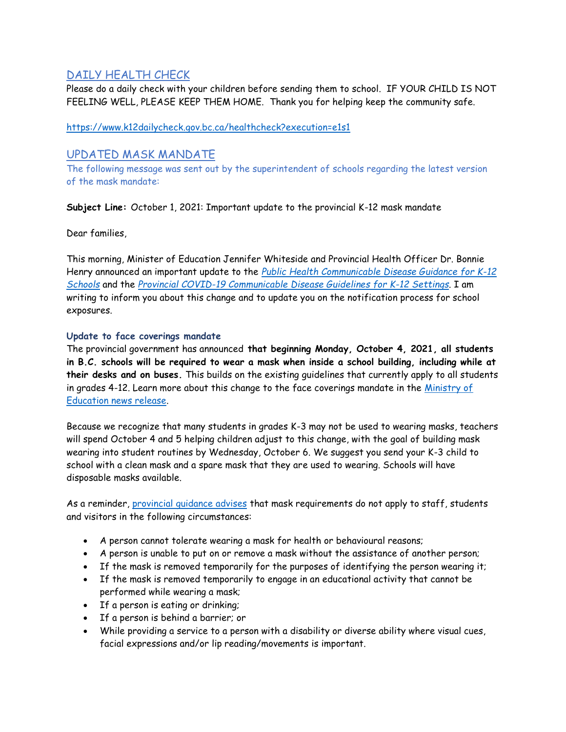## DAILY HEALTH CHECK

Please do a daily check with your children before sending them to school. IF YOUR CHILD IS NOT FEELING WELL, PLEASE KEEP THEM HOME. Thank you for helping keep the community safe.

<https://www.k12dailycheck.gov.bc.ca/healthcheck?execution=e1s1>

## UPDATED MASK MANDATE

The following message was sent out by the superintendent of schools regarding the latest version of the mask mandate:

**Subject Line:** October 1, 2021: Important update to the provincial K-12 mask mandate

Dear families,

This morning, Minister of Education Jennifer Whiteside and Provincial Health Officer Dr. Bonnie Henry announced an important update to the *[Public Health Communicable Disease Guidance for K-12](http://www.bccdc.ca/Health-Info-Site/Documents/COVID_public_guidance/Guidance-k-12-schools.pdf)  [Schools](http://www.bccdc.ca/Health-Info-Site/Documents/COVID_public_guidance/Guidance-k-12-schools.pdf)* and the *[Provincial COVID-19 Communicable Disease Guidelines for K-12 Settings](https://www2.gov.bc.ca/assets/gov/education/administration/kindergarten-to-grade-12/safe-caring-orderly/k-12-covid-19-health-safety-guidlines.pdf)*. I am writing to inform you about this change and to update you on the notification process for school exposures.

#### **Update to face coverings mandate**

The provincial government has announced **that beginning Monday, October 4, 2021, all students in B.C. schools will be required to wear a mask when inside a school building, including while at their desks and on buses.** This builds on the existing guidelines that currently apply to all students in grades 4-12. Learn more about this change to the face coverings mandate in the [Ministry of](https://news.gov.bc.ca/releases/2021EDUC0059-001880)  [Education news release.](https://news.gov.bc.ca/releases/2021EDUC0059-001880)

Because we recognize that many students in grades K-3 may not be used to wearing masks, teachers will spend October 4 and 5 helping children adjust to this change, with the goal of building mask wearing into student routines by Wednesday, October 6. We suggest you send your K-3 child to school with a clean mask and a spare mask that they are used to wearing. Schools will have disposable masks available.

As a reminder, provincial quidance advises that mask requirements do not apply to staff, students and visitors in the following circumstances:

- A person cannot tolerate wearing a mask for health or behavioural reasons;
- A person is unable to put on or remove a mask without the assistance of another person;
- If the mask is removed temporarily for the purposes of identifying the person wearing it;
- If the mask is removed temporarily to engage in an educational activity that cannot be performed while wearing a mask;
- If a person is eating or drinking;
- If a person is behind a barrier; or
- While providing a service to a person with a disability or diverse ability where visual cues, facial expressions and/or lip reading/movements is important.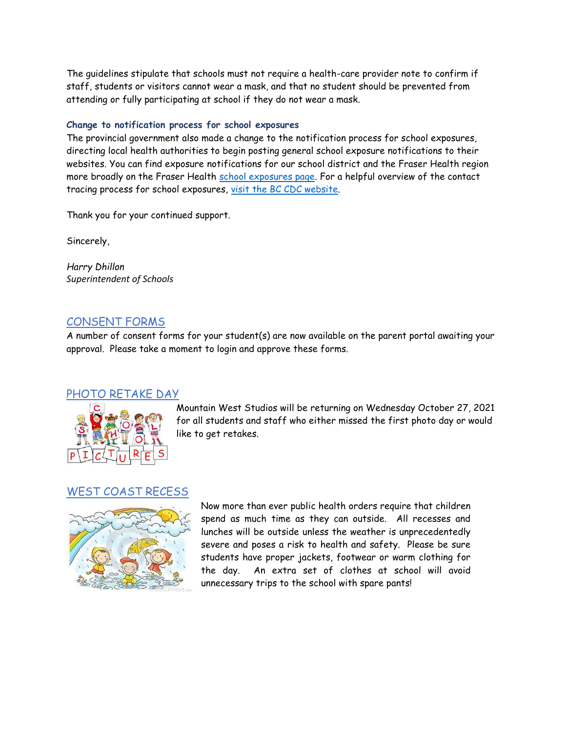The guidelines stipulate that schools must not require a health-care provider note to confirm if staff, students or visitors cannot wear a mask, and that no student should be prevented from attending or fully participating at school if they do not wear a mask.

#### **Change to notification process for school exposures**

The provincial government also made a change to the notification process for school exposures, directing local health authorities to begin posting general school exposure notifications to their websites. You can find exposure notifications for our school district and the Fraser Health region more broadly on the Fraser Health [school exposures page.](https://www.fraserhealth.ca/schoolexposures#.YVdIrqBlDUK) For a helpful overview of the contact tracing process for school exposures, [visit the BC CDC website.](http://www.bccdc.ca/schools/parents-and-students#COVID-19--Cases--in--Schools)

Thank you for your continued support.

Sincerely,

*Harry Dhillon Superintendent of Schools*

## CONSENT FORMS

A number of consent forms for your student(s) are now available on the parent portal awaiting your approval. Please take a moment to login and approve these forms.

#### PHOTO RETAKE DAY



Mountain West Studios will be returning on Wednesday October 27, 2021 for all students and staff who either missed the first photo day or would like to get retakes.

## WEST COAST RECESS



Now more than ever public health orders require that children spend as much time as they can outside. All recesses and lunches will be outside unless the weather is unprecedentedly severe and poses a risk to health and safety. Please be sure students have proper jackets, footwear or warm clothing for the day. An extra set of clothes at school will avoid unnecessary trips to the school with spare pants!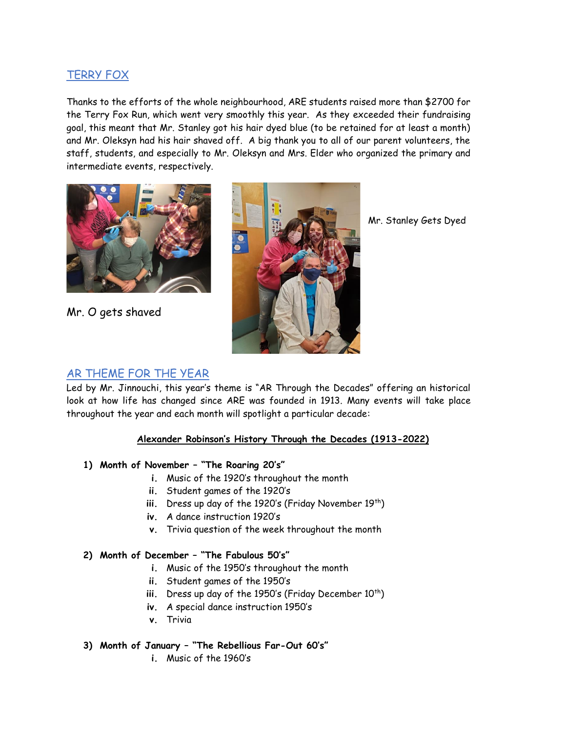# TERRY FOX

Thanks to the efforts of the whole neighbourhood, ARE students raised more than \$2700 for the Terry Fox Run, which went very smoothly this year. As they exceeded their fundraising goal, this meant that Mr. Stanley got his hair dyed blue (to be retained for at least a month) and Mr. Oleksyn had his hair shaved off. A big thank you to all of our parent volunteers, the staff, students, and especially to Mr. Oleksyn and Mrs. Elder who organized the primary and intermediate events, respectively.



Mr. O gets shaved



Mr. Stanley Gets Dyed

# AR THEME FOR THE YEAR

Led by Mr. Jinnouchi, this year's theme is "AR Through the Decades" offering an historical look at how life has changed since ARE was founded in 1913. Many events will take place throughout the year and each month will spotlight a particular decade:

#### **Alexander Robinson's History Through the Decades (1913-2022)**

## **1) Month of November – "The Roaring 20's"**

- **i.** Music of the 1920's throughout the month
- **ii.** Student games of the 1920's
- iii. Dress up day of the 1920's (Friday November 19<sup>th</sup>)
- **iv.** A dance instruction 1920's
- **v.** Trivia question of the week throughout the month

## **2) Month of December – "The Fabulous 50's"**

- **i.** Music of the 1950's throughout the month
- **ii.** Student games of the 1950's
- iii. Dress up day of the 1950's (Friday December 10<sup>th</sup>)
- **iv.** A special dance instruction 1950's
- **v.** Trivia

#### **3) Month of January – "The Rebellious Far-Out 60's"**

**i.** Music of the 1960's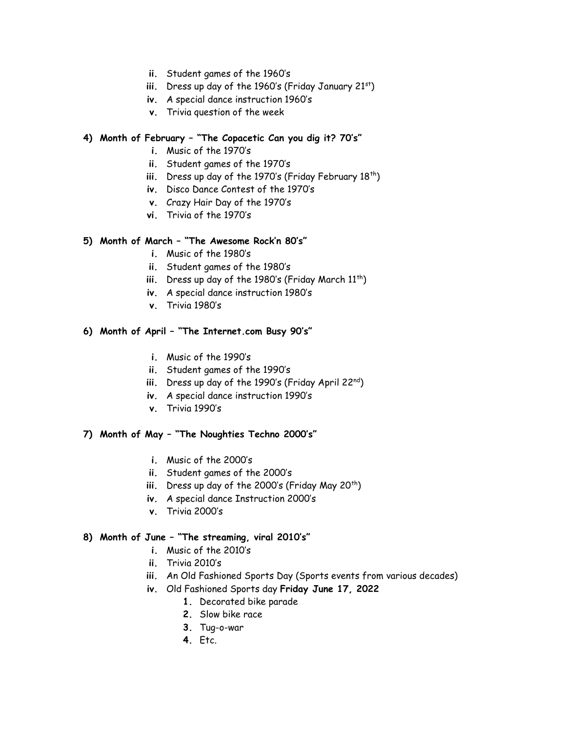- **ii.** Student games of the 1960's
- iii. Dress up day of the 1960's (Friday January 21<sup>st</sup>)
- **iv.** A special dance instruction 1960's
- **v.** Trivia question of the week

#### **4) Month of February – "The Copacetic Can you dig it? 70's"**

- **i.** Music of the 1970's
- **ii.** Student games of the 1970's
- iii. Dress up day of the 1970's (Friday February 18<sup>th</sup>)
- **iv.** Disco Dance Contest of the 1970's
- **v.** Crazy Hair Day of the 1970's
- **vi.** Trivia of the 1970's

#### **5) Month of March – "The Awesome Rock'n 80's"**

- **i.** Music of the 1980's
- **ii.** Student games of the 1980's
- iii. Dress up day of the 1980's (Friday March 11<sup>th</sup>)
- **iv.** A special dance instruction 1980's
- **v.** Trivia 1980's

#### **6) Month of April – "The Internet.com Busy 90's"**

- **i.** Music of the 1990's
- **ii.** Student games of the 1990's
- iii. Dress up day of the 1990's (Friday April 22nd)
- **iv.** A special dance instruction 1990's
- **v.** Trivia 1990's

#### **7) Month of May – "The Noughties Techno 2000's"**

- **i.** Music of the 2000's
- **ii.** Student games of the 2000's
- iii. Dress up day of the 2000's (Friday May 20<sup>th</sup>)
- **iv.** A special dance Instruction 2000's
- **v.** Trivia 2000's

#### **8) Month of June – "The streaming, viral 2010's"**

- **i.** Music of the 2010's
- **ii.** Trivia 2010's
- **iii.** An Old Fashioned Sports Day (Sports events from various decades)
- **iv.** Old Fashioned Sports day **Friday June 17, 2022**
	- **1.** Decorated bike parade
	- **2.** Slow bike race
	- **3.** Tug-o-war
	- **4.** Etc.